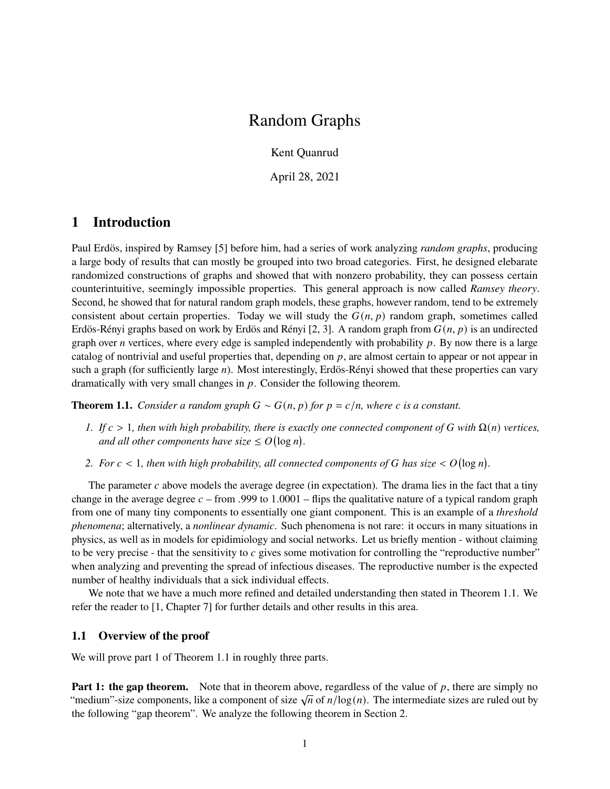# Random Graphs

Kent Quanrud

April 28, 2021

## **1 Introduction**

Paul Erdös, inspired by Ramsey [\[5\]](#page-5-0) before him, had a series of work analyzing *random graphs*, producing a large body of results that can mostly be grouped into two broad categories. First, he designed elebarate randomized constructions of graphs and showed that with nonzero probability, they can possess certain counterintuitive, seemingly impossible properties. This general approach is now called *Ramsey theory*. Second, he showed that for natural random graph models, these graphs, however random, tend to be extremely consistent about certain properties. Today we will study the  $G(n, p)$  random graph, sometimes called Erdös-Rényi graphs based on work by Erdös and Rényi [\[2,](#page-5-1) [3\]](#page-5-2). A random graph from  $G(n, p)$  is an undirected graph over *n* vertices, where every edge is sampled independently with probability  $p$ . By now there is a large catalog of nontrivial and useful properties that, depending on  $p$ , are almost certain to appear or not appear in such a graph (for sufficiently large  $n$ ). Most interestingly, Erdös-Rényi showed that these properties can vary dramatically with very small changes in  $p$ . Consider the following theorem.

<span id="page-0-0"></span>**Theorem 1.1.** *Consider a random graph*  $G \sim G(n, p)$  *for*  $p = c/n$ *, where c is a constant.* 

- *1. If*  $c > 1$ , then with high probability, there is exactly one connected component of G with  $\Omega(n)$  *vertices,* and all other components have size  $\leq O(\log n)$ .
- 2. For  $c < 1$ , then with high probability, all connected components of G has size  $< O(\log n)$ .

The parameter  $c$  above models the average degree (in expectation). The drama lies in the fact that a tiny change in the average degree  $c$  – from .999 to 1.0001 – flips the qualitative nature of a typical random graph from one of many tiny components to essentially one giant component. This is an example of a *threshold phenomena*; alternatively, a *nonlinear dynamic*. Such phenomena is not rare: it occurs in many situations in physics, as well as in models for epidimiology and social networks. Let us briefly mention - without claiming to be very precise - that the sensitivity to  $c$  gives some motivation for controlling the "reproductive number" when analyzing and preventing the spread of infectious diseases. The reproductive number is the expected number of healthy individuals that a sick individual effects.

We note that we have a much more refined and detailed understanding then stated in [Theorem 1.1.](#page-0-0) We refer the reader to [\[1,](#page-5-3) Chapter 7] for further details and other results in this area.

### **1.1 Overview of the proof**

We will prove part 1 of [Theorem 1.1](#page-0-0) in roughly three parts.

**Part 1: the gap theorem.** Note that in theorem above, regardless of the value of p, there are simply no **Tart 1. The gap theorem.** Those that in theorem above, regardless of the value of p, there are simply no<br>"medium"-size components, like a component of size  $\sqrt{n}$  of  $n/\log(n)$ . The intermediate sizes are ruled out by the following "gap theorem". We analyze the following theorem in [Section 2.](#page-2-0)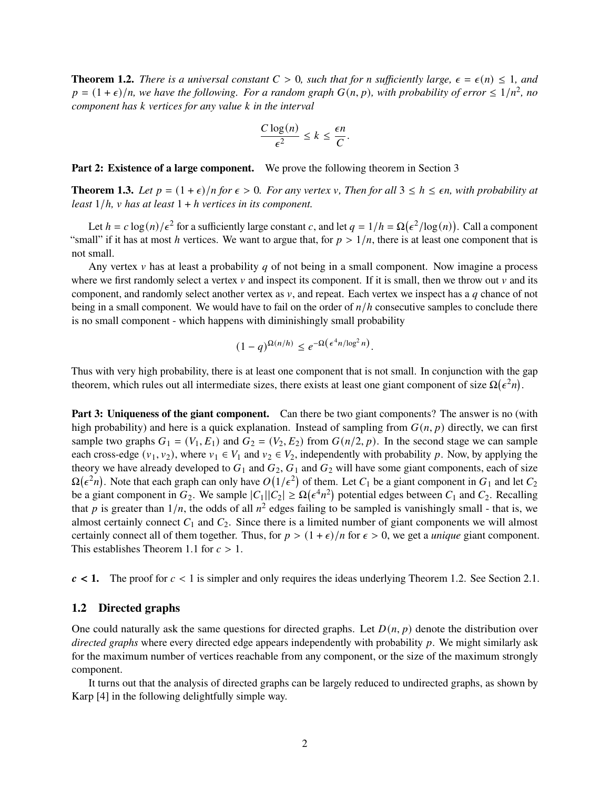<span id="page-1-0"></span>**Theorem 1.2.** *There is a universal constant*  $C > 0$ *, such that for n sufficiently large,*  $\epsilon = \epsilon(n) \leq 1$ *, and*  $p = (1 + \epsilon)/n$ , we have the following. For a random graph  $G(n, p)$ , with probability of error  $\leq 1/n^2$ , no *component has vertices for any value in the interval*

$$
\frac{C\log(n)}{\epsilon^2} \le k \le \frac{\epsilon n}{C}.
$$

**Part 2: Existence of a large component.** We prove the following theorem in [Section 3](#page-3-0)

<span id="page-1-1"></span>**Theorem 1.3.** Let  $p = (1 + \epsilon)/n$  for  $\epsilon > 0$ . For any vertex v, Then for all  $3 \leq h \leq \epsilon n$ , with probability at *least*  $1/h$ *, v has at least*  $1 + h$  *vertices in its component.* 

Let  $h = c \log(n)/\epsilon^2$  for a sufficiently large constant c, and let  $q = 1/h = \Omega(\epsilon^2/\log(n))$ . Call a component "small" if it has at most h vertices. We want to argue that, for  $p > 1/n$ , there is at least one component that is not small.

Any vertex  $\nu$  has at least a probability  $q$  of not being in a small component. Now imagine a process where we first randomly select a vertex  $v$  and inspect its component. If it is small, then we throw out  $v$  and its component, and randomly select another vertex as  $v$ , and repeat. Each vertex we inspect has a q chance of not being in a small component. We would have to fail on the order of  $n/h$  consecutive samples to conclude there is no small component - which happens with diminishingly small probability

$$
(1-q)^{\Omega(n/h)} \le e^{-\Omega\left(\epsilon^4 n/\log^2 n\right)}.
$$

Thus with very high probability, there is at least one component that is not small. In conjunction with the gap theorem, which rules out all intermediate sizes, there exists at least one giant component of size  $\Omega(\epsilon^2 n)$ .

Part 3: Uniqueness of the giant component. Can there be two giant components? The answer is no (with high probability) and here is a quick explanation. Instead of sampling from  $G(n, p)$  directly, we can first sample two graphs  $G_1 = (V_1, E_1)$  and  $G_2 = (V_2, E_2)$  from  $G(n/2, p)$ . In the second stage we can sample each cross-edge  $(v_1, v_2)$ , where  $v_1 \in V_1$  and  $v_2 \in V_2$ , independently with probability p. Now, by applying the theory we have already developed to  $G_1$  and  $G_2$ ,  $G_1$  and  $G_2$  will have some giant components, each of size  $\Omega(\epsilon^2 n)$ . Note that each graph can only have  $O(1/\epsilon^2)$  of them. Let  $C_1$  be a giant component in  $G_1$  and let  $C_2$ be a giant component in  $G_2$ . We sample  $|C_1||C_2| \ge \Omega(\epsilon^4 n^2)$  potential edges between  $C_1$  and  $C_2$ . Recalling that p is greater than  $1/n$ , the odds of all  $n^2$  edges failing to be sampled is vanishingly small - that is, we almost certainly connect  $C_1$  and  $C_2$ . Since there is a limited number of giant components we will almost certainly connect all of them together. Thus, for  $p > (1 + \epsilon)/n$  for  $\epsilon > 0$ , we get a *unique* giant component. This establishes [Theorem 1.1](#page-0-0) for  $c > 1$ .

 $c < 1$ . The proof for  $c < 1$  is simpler and only requires the ideas underlying [Theorem 1.2.](#page-1-0) See [Section 2.1.](#page-3-1)

### **1.2 Directed graphs**

One could naturally ask the same questions for directed graphs. Let  $D(n, p)$  denote the distribution over *directed graphs* where every directed edge appears independently with probability  $p$ . We might similarly ask for the maximum number of vertices reachable from any component, or the size of the maximum strongly component.

It turns out that the analysis of directed graphs can be largely reduced to undirected graphs, as shown by Karp [\[4\]](#page-5-4) in the following delightfully simple way.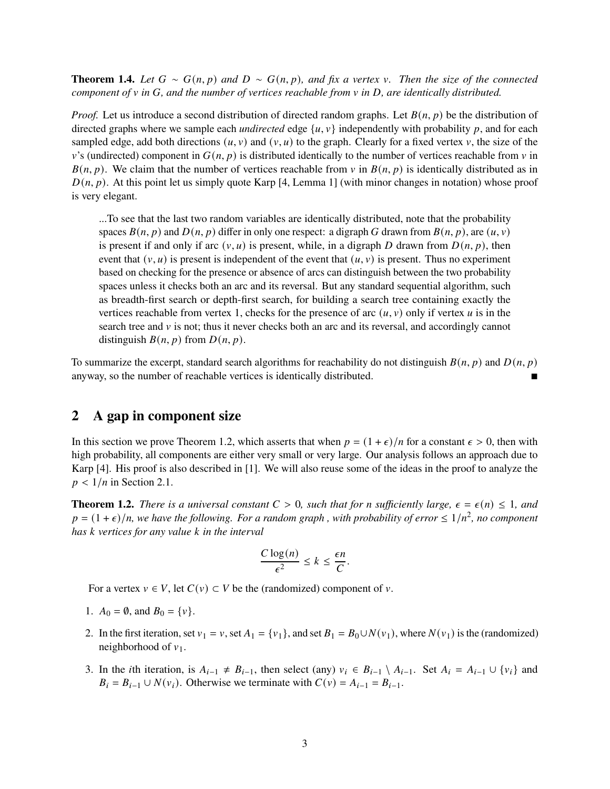**Theorem 1.4.** Let  $G \sim G(n, p)$  and  $D \sim G(n, p)$ , and fix a vertex v. Then the size of the connected *component of*  $\nu$  *in*  $G$ *, and the number of vertices reachable from*  $\nu$  *in*  $D$ *, are identically distributed.* 

*Proof.* Let us introduce a second distribution of directed random graphs. Let  $B(n, p)$  be the distribution of directed graphs where we sample each *undirected* edge  $\{u, v\}$  independently with probability p, and for each sampled edge, add both directions  $(u, v)$  and  $(v, u)$  to the graph. Clearly for a fixed vertex v, the size of the  $v$ 's (undirected) component in  $G(n, p)$  is distributed identically to the number of vertices reachable from v in  $B(n, p)$ . We claim that the number of vertices reachable from v in  $B(n, p)$  is identically distributed as in  $(D(n, p))$ . At this point let us simply quote Karp [\[4,](#page-5-4) Lemma 1] (with minor changes in notation) whose proof is very elegant.

...To see that the last two random variables are identically distributed, note that the probability spaces  $B(n, p)$  and  $D(n, p)$  differ in only one respect: a digraph G drawn from  $B(n, p)$ , are  $(u, v)$ is present if and only if arc  $(v, u)$  is present, while, in a digraph D drawn from  $D(n, p)$ , then event that  $(v, u)$  is present is independent of the event that  $(u, v)$  is present. Thus no experiment based on checking for the presence or absence of arcs can distinguish between the two probability spaces unless it checks both an arc and its reversal. But any standard sequential algorithm, such as breadth-first search or depth-first search, for building a search tree containing exactly the vertices reachable from vertex 1, checks for the presence of arc  $(u, v)$  only if vertex u is in the search tree and  $\nu$  is not; thus it never checks both an arc and its reversal, and accordingly cannot distinguish  $B(n, p)$  from  $D(n, p)$ .

To summarize the excerpt, standard search algorithms for reachability do not distinguish  $B(n, p)$  and  $D(n, p)$ anyway, so the number of reachable vertices is identically distributed.

## <span id="page-2-0"></span>**2 A gap in component size**

In this section we prove [Theorem 1.2,](#page-1-0) which asserts that when  $p = (1 + \epsilon)/n$  for a constant  $\epsilon > 0$ , then with high probability, all components are either very small or very large. Our analysis follows an approach due to Karp [\[4\]](#page-5-4). His proof is also described in [\[1\]](#page-5-3). We will also reuse some of the ideas in the proof to analyze the  $p < 1/n$  in [Section 2.1.](#page-3-1)

**Theorem 1.2.** *There is a universal constant*  $C > 0$ *, such that for n sufficiently large,*  $\epsilon = \epsilon(n) \leq 1$ *, and*  $p = (1 + \epsilon)/n$ , we have the following. For a random graph, with probability of error  $\leq 1/n^2$ , no component *has vertices for any value in the interval*

$$
\frac{C\log(n)}{\epsilon^2} \le k \le \frac{\epsilon n}{C}.
$$

For a vertex  $v \in V$ , let  $C(v) \subset V$  be the (randomized) component of v.

- 1.  $A_0 = \emptyset$ , and  $B_0 = \{v\}.$
- 2. In the first iteration, set  $v_1 = v$ , set  $A_1 = \{v_1\}$ , and set  $B_1 = B_0 \cup N(v_1)$ , where  $N(v_1)$  is the (randomized) neighborhood of  $v_1$ .
- 3. In the *i*th iteration, is  $A_{i-1} \neq B_{i-1}$ , then select (any)  $v_i \in B_{i-1} \setminus A_{i-1}$ . Set  $A_i = A_{i-1} \cup \{v_i\}$  and  $B_i = B_{i-1} \cup N(v_i)$ . Otherwise we terminate with  $C(v) = A_{i-1} = B_{i-1}$ .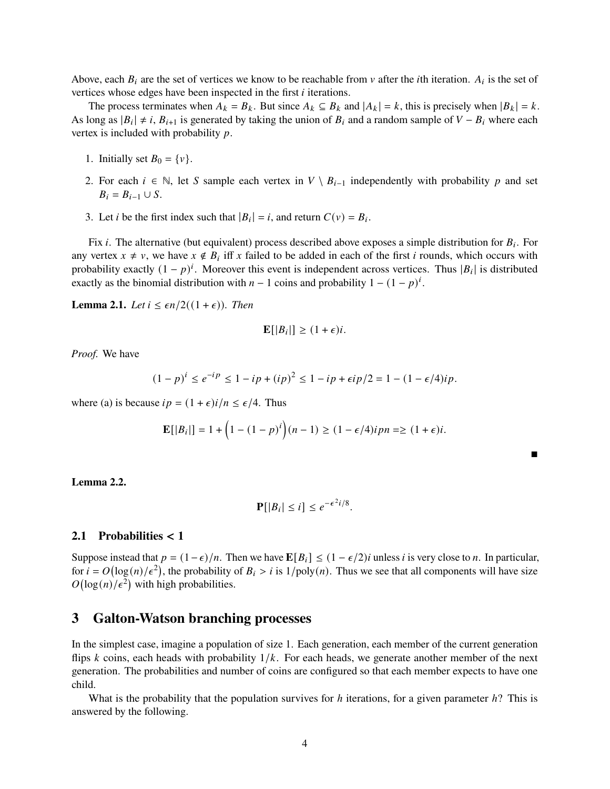Above, each  $B_i$  are the set of vertices we know to be reachable from v after the *i*th iteration.  $A_i$  is the set of vertices whose edges have been inspected in the first  $i$  iterations.

The process terminates when  $A_k = B_k$ . But since  $A_k \subseteq B_k$  and  $|A_k| = k$ , this is precisely when  $|B_k| = k$ . As long as  $|B_i| \neq i$ ,  $B_{i+1}$  is generated by taking the union of  $B_i$  and a random sample of  $V - B_i$  where each vertex is included with probability  $p$ .

- 1. Initially set  $B_0 = \{v\}.$
- 2. For each  $i \in \mathbb{N}$ , let S sample each vertex in  $V \setminus B_{i-1}$  independently with probability p and set  $B_i = B_{i-1} \cup S$ .
- 3. Let *i* be the first index such that  $|B_i| = i$ , and return  $C(v) = B_i$ .

Fix *i*. The alternative (but equivalent) process described above exposes a simple distribution for  $B_i$ . For any vertex  $x \neq v$ , we have  $x \notin B_i$  iff x failed to be added in each of the first i rounds, which occurs with probability exactly  $(1 - p)^i$ . Moreover this event is independent across vertices. Thus |B<sub>i</sub>| is distributed exactly as the binomial distribution with  $n-1$  coins and probability  $1 - (1 - p)^i$ .

**Lemma 2.1.** *Let*  $i \leq \epsilon n/2((1+\epsilon))$ *. Then* 

$$
\mathbf{E}[|B_i|] \ge (1+\epsilon)i.
$$

*Proof.* We have

$$
(1-p)^{i} \le e^{-ip} \le 1 - ip + (ip)^{2} \le 1 - ip + \epsilon i p/2 = 1 - (1 - \epsilon/4)i p.
$$

where (a) is because  $ip = (1 + \epsilon)i/n \leq \epsilon/4$ . Thus

$$
\mathbf{E}[|B_i|] = 1 + \left(1 - (1 - p)^i\right)(n - 1) \ge (1 - \epsilon/4)ipn \ge (1 + \epsilon)i.
$$

 $\blacksquare$ 

#### **Lemma 2.2.**

$$
\mathbf{P}[|B_i| \leq i] \leq e^{-\epsilon^2 i/8}.
$$

### <span id="page-3-1"></span>**2.1 Probabilities** < **1**

Suppose instead that  $p = (1 - \epsilon)/n$ . Then we have  $\mathbb{E}[B_i] \le (1 - \epsilon/2)i$  unless *i* is very close to *n*. In particular, for  $i = O(\log(n)/\epsilon^2)$ , the probability of  $B_i > i$  is  $1/poly(n)$ . Thus we see that all components will have size  $O(\log(n)/\epsilon^2)$  with high probabilities.

## <span id="page-3-0"></span>**3 Galton-Watson branching processes**

In the simplest case, imagine a population of size 1. Each generation, each member of the current generation flips k coins, each heads with probability  $1/k$ . For each heads, we generate another member of the next generation. The probabilities and number of coins are configured so that each member expects to have one child.

What is the probability that the population survives for  $h$  iterations, for a given parameter  $h$ ? This is answered by the following.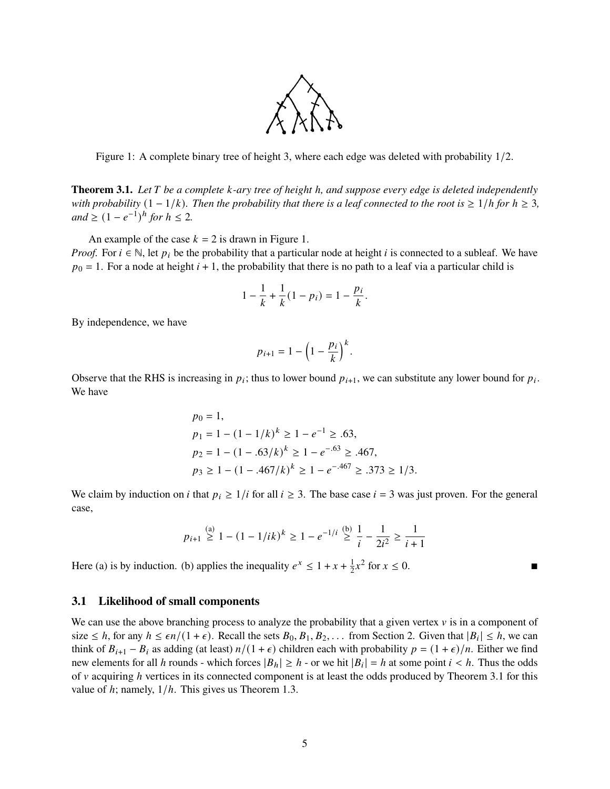

<span id="page-4-0"></span>Figure 1: A complete binary tree of height 3, where each edge was deleted with probability 1/2.

<span id="page-4-1"></span>**Theorem 3.1.** *Let* T be a complete *k*-ary tree of height h, and suppose every edge is deleted independently *with probability*  $(1 - 1/k)$ *. Then the probability that there is a leaf connected to the root is*  $\geq 1/h$  *for*  $h \geq 3$ *,*  $and \geq (1 - e^{-1})^h$  *for*  $h \leq 2$ *.* 

An example of the case  $k = 2$  is drawn in [Figure 1.](#page-4-0)

*Proof.* For  $i \in \mathbb{N}$ , let  $p_i$  be the probability that a particular node at height i is connected to a subleaf. We have  $p_0 = 1$ . For a node at height  $i + 1$ , the probability that there is no path to a leaf via a particular child is

$$
1 - \frac{1}{k} + \frac{1}{k}(1 - p_i) = 1 - \frac{p_i}{k}.
$$

By independence, we have

$$
p_{i+1}=1-\left(1-\frac{p_i}{k}\right)^k.
$$

Observe that the RHS is increasing in  $p_i$ ; thus to lower bound  $p_{i+1}$ , we can substitute any lower bound for  $p_i$ . We have

$$
p_0 = 1,
$$
  
\n
$$
p_1 = 1 - (1 - 1/k)^k \ge 1 - e^{-1} \ge .63,
$$
  
\n
$$
p_2 = 1 - (1 - .63/k)^k \ge 1 - e^{-.63} \ge .467,
$$
  
\n
$$
p_3 \ge 1 - (1 - .467/k)^k \ge 1 - e^{-.467} \ge .373 \ge 1/3.
$$

We claim by induction on *i* that  $p_i \ge 1/i$  for all  $i \ge 3$ . The base case  $i = 3$  was just proven. For the general case,

$$
p_{i+1} \stackrel{\text{(a)}}{\geq} 1 - (1 - 1/ik)^k \geq 1 - e^{-1/i} \stackrel{\text{(b)}}{\geq} \frac{1}{i} - \frac{1}{2i^2} \geq \frac{1}{i+1}
$$

Here (a) is by induction. (b) applies the inequality  $e^x \le 1 + x + \frac{1}{2}$  $\frac{1}{2}x^2$  for  $x \le 0$ .

#### **3.1 Likelihood of small components**

We can use the above branching process to analyze the probability that a given vertex  $\nu$  is in a component of size  $\leq h$ , for any  $h \leq \epsilon n/(1+\epsilon)$ . Recall the sets  $B_0, B_1, B_2, \ldots$  from [Section 2.](#page-2-0) Given that  $|B_i| \leq h$ , we can think of  $B_{i+1} - B_i$  as adding (at least)  $n/(1 + \epsilon)$  children each with probability  $p = (1 + \epsilon)/n$ . Either we find new elements for all h rounds - which forces  $|B_h| \ge h$  - or we hit  $|B_i| = h$  at some point  $i < h$ . Thus the odds of  $\nu$  acquiring  *vertices in its connected component is at least the odds produced by [Theorem 3.1](#page-4-1) for this* value of  $h$ ; namely,  $1/h$ . This gives us [Theorem 1.3.](#page-1-1)